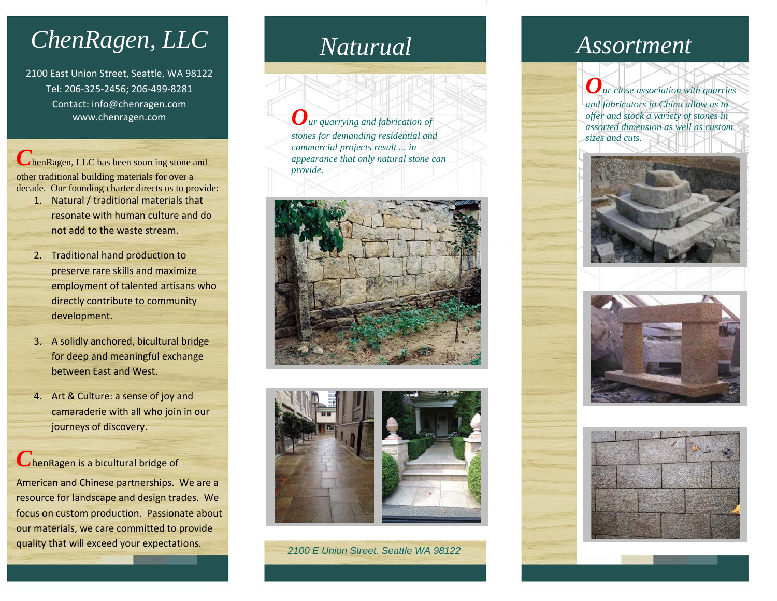## *ChenRagen, LLC*

2100 East Union Street, Seattle, WA 98122 Tel: 206‐325‐2456; 206‐499‐8281 Contact: info@chenragen.com www.chenragen.com

**C**henRagen, LLC has been sourcing stone and other traditional building materials for over a decade. Our founding charter directs us to provide:

- 1. Natural / traditional materials that resonate with human culture and donot add to the waste stream.
- 2. Traditional hand production to preserve rare skills and maximize employment of talented artisans who directly contribute to community development.
- 3. A solidly anchored, bicultural bridge for deep and meaningful exchange between East and West.
- 4. Art & Culture: <sup>a</sup> sense of joy and camaraderie with all who join in our journeys of discovery.

## *C*henRagen is <sup>a</sup> bicultural bridge of

American and Chinese partnerships. We are <sup>a</sup> resource for landscape and design trades. We focus on custom production. Passionate about our materials, we care committed to provide quality that will exceed your expectations.

*Our quarrying and fabrication of stones for demanding residential and commercial projects result ... in appearance that only natural stone can provide.* 





*2100 E Union Street, Seattle WA 98122* 

## *Naturual Assortment*

*Our close association with quarries and fabricators in China allow us to offer and stock a variety of stones in assorted dimension as well as custom sizes and cuts.*